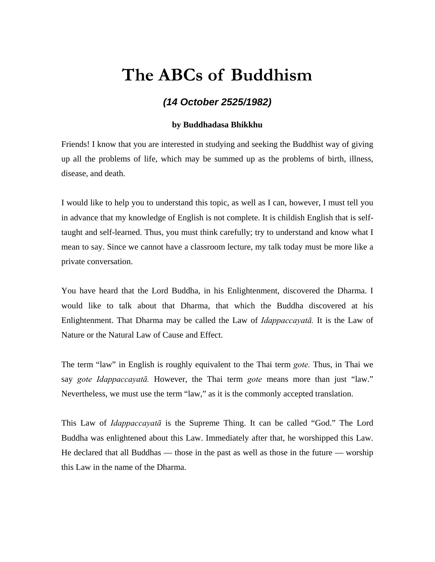## **The ABCs of Buddhism**

## *(14 October 2525/1982)*

## **by Buddhadasa Bhikkhu**

Friends! I know that you are interested in studying and seeking the Buddhist way of giving up all the problems of life, which may be summed up as the problems of birth, illness, disease, and death.

I would like to help you to understand this topic, as well as I can, however, I must tell you in advance that my knowledge of English is not complete. It is childish English that is selftaught and self-learned. Thus, you must think carefully; try to understand and know what I mean to say. Since we cannot have a classroom lecture, my talk today must be more like a private conversation.

You have heard that the Lord Buddha, in his Enlightenment, discovered the Dharma. I would like to talk about that Dharma, that which the Buddha discovered at his Enlightenment. That Dharma may be called the Law of *Idappaccayatā.* It is the Law of Nature or the Natural Law of Cause and Effect.

The term "law" in English is roughly equivalent to the Thai term *gote.* Thus, in Thai we say *gote Idappaccayatā.* However, the Thai term *gote* means more than just "law." Nevertheless, we must use the term "law," as it is the commonly accepted translation.

This Law of *Idappaccayatā* is the Supreme Thing. It can be called "God." The Lord Buddha was enlightened about this Law. Immediately after that, he worshipped this Law. He declared that all Buddhas — those in the past as well as those in the future — worship this Law in the name of the Dharma.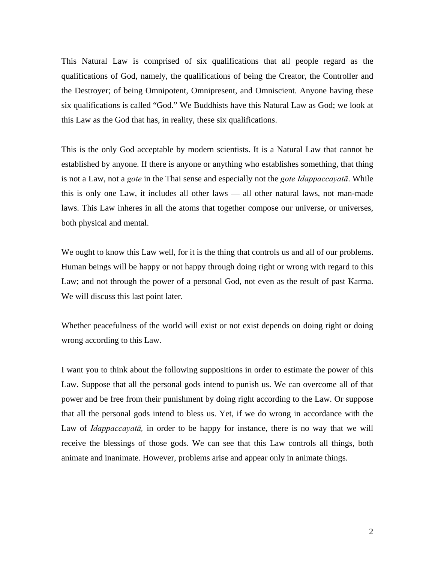This Natural Law is comprised of six qualifications that all people regard as the qualifications of God, namely, the qualifications of being the Creator, the Controller and the Destroyer; of being Omnipotent, Omnipresent, and Omniscient. Anyone having these six qualifications is called "God." We Buddhists have this Natural Law as God; we look at this Law as the God that has, in reality, these six qualifications.

This is the only God acceptable by modern scientists. It is a Natural Law that cannot be established by anyone. If there is anyone or anything who establishes something, that thing is not a Law, not a *gote* in the Thai sense and especially not the *gote Idappaccayatā*. While this is only one Law, it includes all other laws — all other natural laws, not man-made laws. This Law inheres in all the atoms that together compose our universe, or universes, both physical and mental.

We ought to know this Law well, for it is the thing that controls us and all of our problems. Human beings will be happy or not happy through doing right or wrong with regard to this Law; and not through the power of a personal God, not even as the result of past Karma. We will discuss this last point later.

Whether peacefulness of the world will exist or not exist depends on doing right or doing wrong according to this Law.

I want you to think about the following suppositions in order to estimate the power of this Law. Suppose that all the personal gods intend to punish us. We can overcome all of that power and be free from their punishment by doing right according to the Law. Or suppose that all the personal gods intend to bless us. Yet, if we do wrong in accordance with the Law of *Idappaccayatā,* in order to be happy for instance, there is no way that we will receive the blessings of those gods. We can see that this Law controls all things, both animate and inanimate. However, problems arise and appear only in animate things.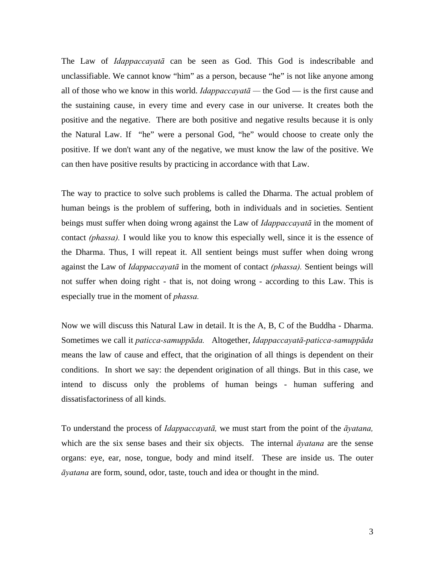The Law of *Idappaccayatā* can be seen as God. This God is indescribable and unclassifiable. We cannot know "him" as a person, because "he" is not like anyone among all of those who we know in this world. *Idappaccayatā —* the God — is the first cause and the sustaining cause, in every time and every case in our universe. It creates both the positive and the negative. There are both positive and negative results because it is only the Natural Law. If "he" were a personal God, "he" would choose to create only the positive. If we don't want any of the negative, we must know the law of the positive. We can then have positive results by practicing in accordance with that Law.

The way to practice to solve such problems is called the Dharma. The actual problem of human beings is the problem of suffering, both in individuals and in societies. Sentient beings must suffer when doing wrong against the Law of *Idappaccayatā* in the moment of contact *(phassa).* I would like you to know this especially well, since it is the essence of the Dharma. Thus, I will repeat it. All sentient beings must suffer when doing wrong against the Law of *Idappaccayatā* in the moment of contact *(phassa).* Sentient beings will not suffer when doing right - that is, not doing wrong - according to this Law. This is especially true in the moment of *phassa.* 

Now we will discuss this Natural Law in detail. It is the A, B, C of the Buddha - Dharma. Sometimes we call it *paticca-samuppāda.* Altogether, *Idappaccayatā-paticca-samuppāda*  means the law of cause and effect, that the origination of all things is dependent on their conditions. In short we say: the dependent origination of all things. But in this case, we intend to discuss only the problems of human beings - human suffering and dissatisfactoriness of all kinds.

To understand the process of *Idappaccayatā,* we must start from the point of the *āyatana,*  which are the six sense bases and their six objects. The internal *āyatana* are the sense organs: eye, ear, nose, tongue, body and mind itself. These are inside us. The outer *āyatana* are form, sound, odor, taste, touch and idea or thought in the mind.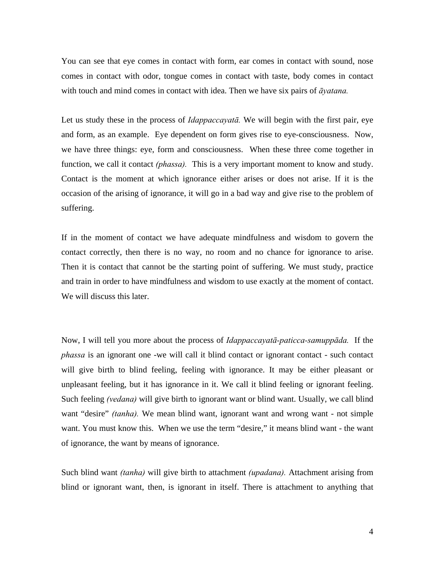You can see that eye comes in contact with form, ear comes in contact with sound, nose comes in contact with odor, tongue comes in contact with taste, body comes in contact with touch and mind comes in contact with idea. Then we have six pairs of *āyatana.* 

Let us study these in the process of *Idappaccayatā.* We will begin with the first pair, eye and form, as an example. Eye dependent on form gives rise to eye-consciousness. Now, we have three things: eye, form and consciousness. When these three come together in function, we call it contact *(phassa)*. This is a very important moment to know and study. Contact is the moment at which ignorance either arises or does not arise. If it is the occasion of the arising of ignorance, it will go in a bad way and give rise to the problem of suffering.

If in the moment of contact we have adequate mindfulness and wisdom to govern the contact correctly, then there is no way, no room and no chance for ignorance to arise. Then it is contact that cannot be the starting point of suffering. We must study, practice and train in order to have mindfulness and wisdom to use exactly at the moment of contact. We will discuss this later.

Now, I will tell you more about the process of *Idappaccayatā-paticca-samuppāda.* If the *phassa* is an ignorant one -we will call it blind contact or ignorant contact - such contact will give birth to blind feeling, feeling with ignorance. It may be either pleasant or unpleasant feeling, but it has ignorance in it. We call it blind feeling or ignorant feeling. Such feeling *(vedana)* will give birth to ignorant want or blind want. Usually, we call blind want "desire" *(tanha)*. We mean blind want, ignorant want and wrong want - not simple want. You must know this. When we use the term "desire," it means blind want - the want of ignorance, the want by means of ignorance.

Such blind want *(tanha)* will give birth to attachment *(upadana).* Attachment arising from blind or ignorant want, then, is ignorant in itself. There is attachment to anything that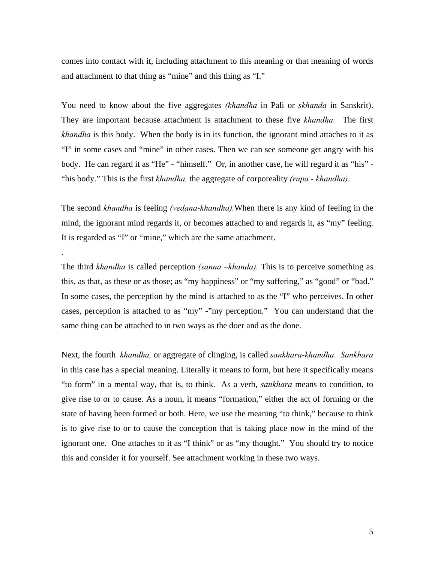comes into contact with it, including attachment to this meaning or that meaning of words and attachment to that thing as "mine" and this thing as "I."

You need to know about the five aggregates *(khandha* in Pali or *skhanda* in Sanskrit). They are important because attachment is attachment to these five *khandha.* The first *khandha* is this body. When the body is in its function, the ignorant mind attaches to it as "I" in some cases and "mine" in other cases. Then we can see someone get angry with his body. He can regard it as "He" - "himself." Or, in another case, he will regard it as "his" - "his body." This is the first *khandha,* the aggregate of corporeality *(rupa - khandha).* 

The second *khandha* is feeling *(vedana-khandha).*When there is any kind of feeling in the mind, the ignorant mind regards it, or becomes attached to and regards it, as "my" feeling. It is regarded as "I" or "mine," which are the same attachment.

.

The third *khandha* is called perception *(sanna –khanda).* This is to perceive something as this, as that, as these or as those; as "my happiness" or "my suffering," as "good" or "bad." In some cases, the perception by the mind is attached to as the "I" who perceives. In other cases, perception is attached to as "my" -"my perception." You can understand that the same thing can be attached to in two ways as the doer and as the done.

Next, the fourth *khandha,* or aggregate of clinging, is called *sankhara-khandha. Sankhara*  in this case has a special meaning. Literally it means to form, but here it specifically means "to form" in a mental way, that is, to think. As a verb, *sankhara* means to condition, to give rise to or to cause. As a noun, it means "formation," either the act of forming or the state of having been formed or both. Here, we use the meaning "to think," because to think is to give rise to or to cause the conception that is taking place now in the mind of the ignorant one. One attaches to it as "I think" or as "my thought." You should try to notice this and consider it for yourself. See attachment working in these two ways.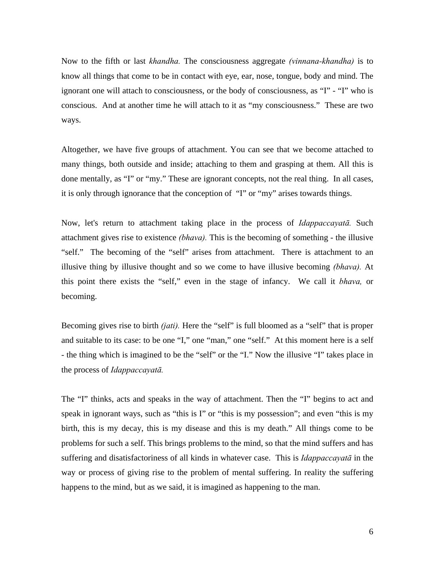Now to the fifth or last *khandha.* The consciousness aggregate *(vinnana-khandha)* is to know all things that come to be in contact with eye, ear, nose, tongue, body and mind. The ignorant one will attach to consciousness, or the body of consciousness, as "I" - "I" who is conscious. And at another time he will attach to it as "my consciousness." These are two ways.

Altogether, we have five groups of attachment. You can see that we become attached to many things, both outside and inside; attaching to them and grasping at them. All this is done mentally, as "I" or "my." These are ignorant concepts, not the real thing. In all cases, it is only through ignorance that the conception of "I" or "my" arises towards things.

Now, let's return to attachment taking place in the process of *Idappaccayatā.* Such attachment gives rise to existence *(bhava).* This is the becoming of something - the illusive "self." The becoming of the "self" arises from attachment. There is attachment to an illusive thing by illusive thought and so we come to have illusive becoming *(bhava).* At this point there exists the "self," even in the stage of infancy. We call it *bhava,* or becoming.

Becoming gives rise to birth *(jati).* Here the "self" is full bloomed as a "self" that is proper and suitable to its case: to be one "I," one "man," one "self." At this moment here is a self - the thing which is imagined to be the "self" or the "I." Now the illusive "I" takes place in the process of *Idappaccayatā.* 

The "I" thinks, acts and speaks in the way of attachment. Then the "I" begins to act and speak in ignorant ways, such as "this is I" or "this is my possession"; and even "this is my birth, this is my decay, this is my disease and this is my death." All things come to be problems for such a self. This brings problems to the mind, so that the mind suffers and has suffering and disatisfactoriness of all kinds in whatever case. This is *Idappaccayatā* in the way or process of giving rise to the problem of mental suffering. In reality the suffering happens to the mind, but as we said, it is imagined as happening to the man.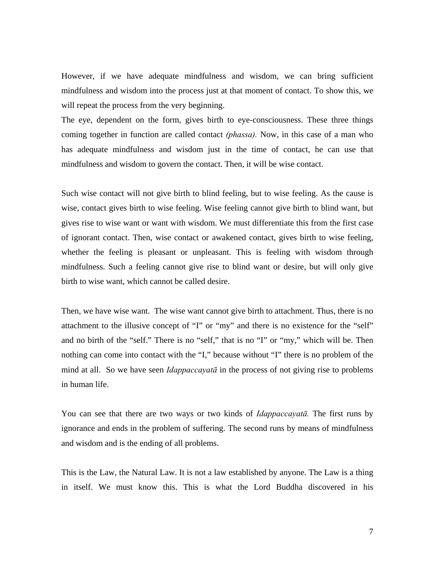However, if we have adequate mindfulness and wisdom, we can bring sufficient mindfulness and wisdom into the process just at that moment of contact. To show this, we will repeat the process from the very beginning.

The eye, dependent on the form, gives birth to eye-consciousness. These three things coming together in function are called contact *(phassa).* Now, in this case of a man who has adequate mindfulness and wisdom just in the time of contact, he can use that mindfulness and wisdom to govern the contact. Then, it will be wise contact.

Such wise contact will not give birth to blind feeling, but to wise feeling. As the cause is wise, contact gives birth to wise feeling. Wise feeling cannot give birth to blind want, but gives rise to wise want or want with wisdom. We must differentiate this from the first case of ignorant contact. Then, wise contact or awakened contact, gives birth to wise feeling, whether the feeling is pleasant or unpleasant. This is feeling with wisdom through mindfulness. Such a feeling cannot give rise to blind want or desire, but will only give birth to wise want, which cannot be called desire.

Then, we have wise want. The wise want cannot give birth to attachment. Thus, there is no attachment to the illusive concept of "I" or "my" and there is no existence for the "self" and no birth of the "self." There is no "self," that is no "I" or "my," which will be. Then nothing can come into contact with the "I," because without "I" there is no problem of the mind at all. So we have seen *Idappaccayatā* in the process of not giving rise to problems in human life.

You can see that there are two ways or two kinds of *Idappaccayatā.* The first runs by ignorance and ends in the problem of suffering. The second runs by means of mindfulness and wisdom and is the ending of all problems.

This is the Law, the Natural Law. It is not a law established by anyone. The Law is a thing in itself. We must know this. This is what the Lord Buddha discovered in his